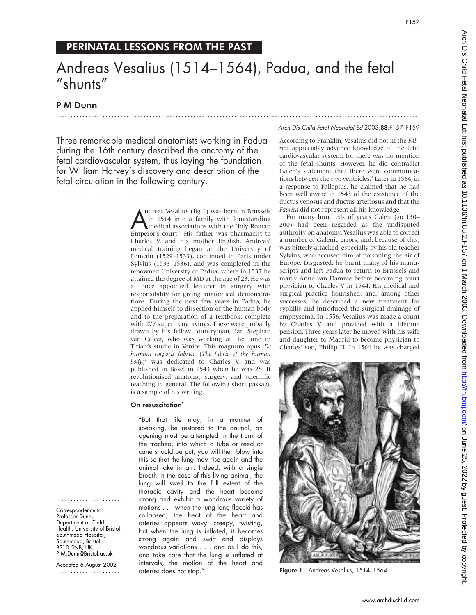# PERINATAL LESSONS FROM THE PAST

# Andreas Vesalius (1514–1564), Padua, and the fetal "shunts"

.............................................................................................................................

## P M Dunn

Three remarkable medical anatomists working in Padua during the 16th century described the anatomy of the fetal cardiovascular system, thus laying the foundation for William Harvey's discovery and description of the fetal circulation in the following century.

..........................................................................

#### Andreas Vesalius (hg 1) was born in Brussels<br>in 1514 into a family with longstanding<br>Emperor's court.<sup>1</sup> His father was pharmacist to ndreas Vesalius (fig 1) was born in Brussels in 1514 into a family with longstanding medical associations with the Holy Roman Charles V, and his mother English. Andreas' medical training began at the University of Louvain (1529–1533), continued in Paris under Sylvius (1533–1536), and was completed in the renowned University of Padua, where in 1537 he attained the degree of MD at the age of 23. He was at once appointed lecturer in surgery with responsibility for giving anatomical demonstrations. During the next few years in Padua, he applied himself to dissection of the human body and to the preparation of a textbook, complete with 277 superb engravings. These were probably drawn by his fellow countryman, Jan Stephan van Calcar, who was working at the time in Titian's studio in Venice. This magnum opus, *De humani corporis fabrica* (*The fabric of the human body*) <sup>2</sup> was dedicated to Charles V, and was published in Basel in 1543 when he was 28. It revolutionised anatomy, surgery, and scientific teaching in general. The following short passage is a sample of his writing.

#### On resuscitation<sup>2</sup>

....................... Correspondence to: Professor Dunn, Department of Child Health, University of Bristol, Southmead Hospital, Southmead, Bristol BS10 5NB, UK; P.M.Dunn@Bristol.ac.uk Accepted 6 August 2002 .......................

"But that life may, in a manner of speaking, be restored to the animal, an opening must be attempted in the trunk of the trachea, into which a tube or reed or cane should be put; you will then blow into this so that the lung may rise again and the animal take in air. Indeed, with a single breath in the case of this living animal, the lung will swell to the full extent of the thoracic cavity and the heart become strong and exhibit a wondrous variety of motions . . . when the lung long flaccid has collapsed, the beat of the heart and arteries appears wavy, creepy, twisting, but when the lung is inflated, it becomes strong again and swift and displays wondrous variations . . . and as I do this, and take care that the lung is inflated at intervals, the motion of the heart and arteries does not stop."

Arch Dis Child Fetal Neonatal Ed 2003;88:F157–F159

According to Franklin, Vesalius did not in the *Fabrica* appreciably advance knowledge of the fetal cardiovascular system; for there was no mention of the fetal shunts. However, he did contradict Galen's statement that there were communications between the two ventricles.<sup>3</sup> Later in 1564, in a response to Fallopius, he claimed that he had been well aware in 1543 of the existence of the ductus venosus and ductus arteriosus and that the *Fabrica* did not represent all his knowledge.

For many hundreds of years Galen (AD 130-200) had been regarded as the undisputed authority on anatomy. Vesalius was able to correct a number of Galenic errors, and, because of this, was bitterly attacked, especially by his old teacher Sylvius, who accused him of poisoning the air of Europe. Disgusted, he burnt many of his manuscripts and left Padua to return to Brussels and marry Anne van Hamme before becoming court physician to Charles V in 1544. His medical and surgical practice flourished, and, among other successes, he described a new treatment for syphilis and introduced the surgical drainage of emphysema. In 1556, Vesalius was made a count by Charles V and provided with a lifetime pension. Three years later he moved with his wife and daughter to Madrid to become physician to Charles' son, Phillip II. In 1564 he was charged



Figure 1 Andreas Vesalius, 1514-1564.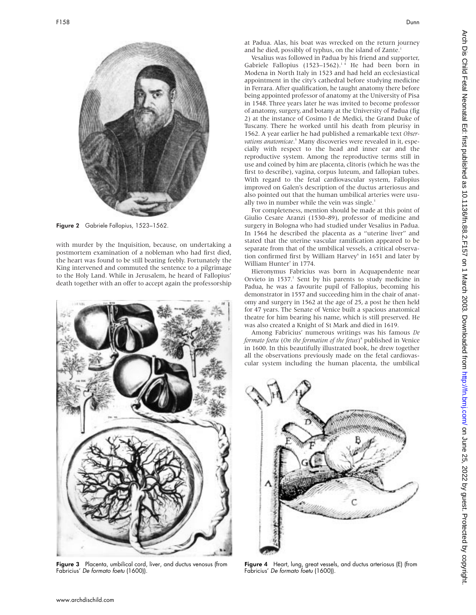

Figure 2 Gabriele Fallopius, 1523–1562.

with murder by the Inquisition, because, on undertaking a postmortem examination of a nobleman who had first died, the heart was found to be still beating feebly. Fortunately the King intervened and commuted the sentence to a pilgrimage to the Holy Land. While in Jerusalem, he heard of Fallopius' death together with an offer to accept again the professorship



Figure 3 Placenta, umbilical cord, liver, and ductus venosus (from Fabricius' De formato foetu (1600)).

at Padua. Alas, his boat was wrecked on the return journey and he died, possibly of typhus, on the island of Zante.<sup>1</sup>

Vesalius was followed in Padua by his friend and supporter, Gabriele Fallopius (1523–1562).<sup>14</sup> He had been born in Modena in North Italy in 1523 and had held an ecclesiastical appointment in the city's cathedral before studying medicine in Ferrara. After qualification, he taught anatomy there before being appointed professor of anatomy at the University of Pisa in 1548. Three years later he was invited to become professor of anatomy, surgery, and botany at the University of Padua (fig 2) at the instance of Cosimo I de Medici, the Grand Duke of Tuscany. There he worked until his death from pleurisy in 1562. A year earlier he had published a remarkable text *Observations anatomicae*. <sup>5</sup> Many discoveries were revealed in it, especially with respect to the head and inner ear and the reproductive system. Among the reproductive terms still in use and coined by him are placenta, clitoris (which he was the first to describe), vagina, corpus luteum, and fallopian tubes. With regard to the fetal cardiovascular system, Fallopius improved on Galen's description of the ductus arteriosus and also pointed out that the human umbilical arteries were usually two in number while the vein was single.<sup>3</sup>

For completeness, mention should be made at this point of Giulio Cesare Aranzi (1530–89), professor of medicine and surgery in Bologna who had studied under Vesalius in Padua. In 1564 he described the placenta as a "uterine liver" and stated that the uterine vascular ramification appeared to be separate from that of the umbilical vessels, a critical observation confirmed first by William Harvey<sup>6</sup> in 1651 and later by William Hunter<sup>7</sup> in 1774.

Hieronymus Fabricius was born in Acquapendente near Orvieto in  $1537<sup>1</sup>$  Sent by his parents to study medicine in Padua, he was a favourite pupil of Fallopius, becoming his demonstrator in 1557 and succeeding him in the chair of anatomy and surgery in 1562 at the age of 25, a post he then held for 47 years. The Senate of Venice built a spacious anatomical theatre for him bearing his name, which is still preserved. He was also created a Knight of St Mark and died in 1619.

Among Fabricius' numerous writings was his famous *De formato foetu* (*On the formation of the fetus*) <sup>8</sup> published in Venice in 1600. In this beautifully illustrated book, he drew together all the observations previously made on the fetal cardiovascular system including the human placenta, the umbilical



Figure 4 Heart, lung, great vessels, and ductus arteriosus (E) (from Fabricius' De formato foetu (1600)).